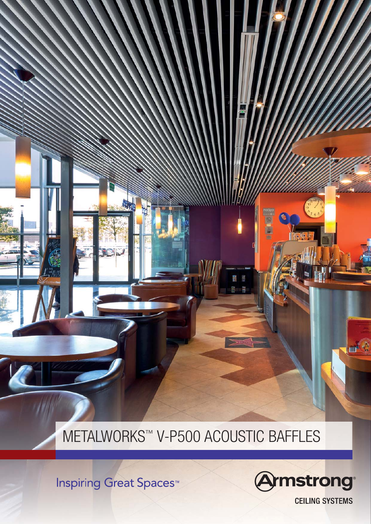METALWORKS™ V-P500 ACOUSTIC BAFFLES

**Inspiring Great Spaces<sup>™</sup>** 



**CEILING SYSTEMS** 

 $\mathbf{m}$  ( )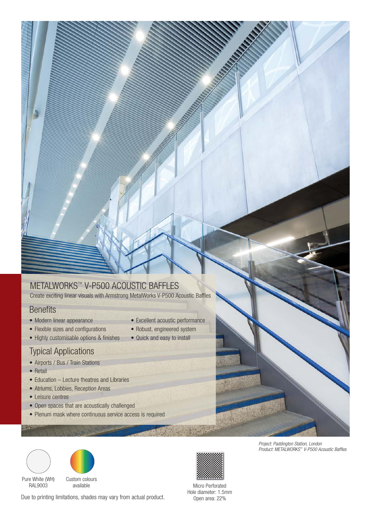### METALWORKS™ V-P500 ACOUSTIC BAFFLES

Create exciting linear visuals with Armstrong MetalWorks V-P500 Acoustic Baffles

### **Benefits**

- Modern linear appearance
- Flexible sizes and configurations
- Highly customisable options & finishes

### Typical Applications

- Airports / Bus / Train Stations
- Retail
- Education Lecture theatres and Libraries
- Atriums, Lobbies, Reception Areas
- Leisure centres
- Open spaces that are acoustically challenged
- Plenum mask where continuous service access is required
- Excellent acoustic performance
- Robust, engineered system
- Quick and easy to install





Pure White (WH) RAL9003

Custom colours available

Due to printing limitations, shades may vary from actual product.

Micro Perforated Hole diameter: 1.5mm Open area: 22%

Project: Paddington Station, London Product: METALWORKS ™ V-P500 Acoustic Baffles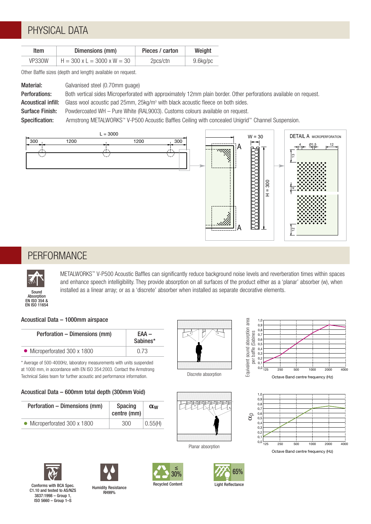# PHYSICAL DATA

| Item   | Dimensions (mm)               | Pieces / carton | Weight   |
|--------|-------------------------------|-----------------|----------|
| VP330W | $H = 300$ x L = 3000 x W = 30 | 2pcs/ctn        | 9.6kg/pc |

Other Baffle sizes (depth and length) available on request.

| Material:                 | Galvanised steel (0.70mm guage)                                                                                    |  |
|---------------------------|--------------------------------------------------------------------------------------------------------------------|--|
| Perforations:             | Both vertical sides Microperforated with approximately 12mm plain border. Other perforations available on request. |  |
| <b>Acoustical infill:</b> | Glass wool acoustic pad 25mm, $25\text{kg/m}^3$ with black acoustic fleece on both sides.                          |  |
| Surface Finish:           | Powdercoated WH – Pure White (RAL9003). Customs colours available on request.                                      |  |
| Specification:            | Armstrong METALWORKS™ V-P500 Acoustic Baffles Ceiling with concealed Unigrid™ Channel Suspension.                  |  |



### **PERFORMANCE**



METALWORKS™ V-P500 Acoustic Baffles can significantly reduce background noise levels and reverberation times within spaces and enhance speech intelligibility. They provide absorption on all surfaces of the product either as a 'planar' absorber (w), when installed as a linear array; or as a 'discrete' absorber when installed as separate decorative elements.

#### Acoustical Data – 1000mm airspace

| Perforation – Dimensions (mm) | EAA –<br>Sabines* |  |
|-------------------------------|-------------------|--|
| • Microperforated 300 x 1800  | 0 73              |  |

\* Average of 500-4000Hz, laboratory measurements with units suspended at 1000 mm, in accordance with EN ISO 354:2003. Contact the Armstrong Technical Sales team for further acoustic and performance information.

#### Acoustical Data – 600mm total depth (300mm Void)

| Perforation – Dimensions (mm) | <b>Spacing</b><br>centre (mm) | $\alpha_w$ |
|-------------------------------|-------------------------------|------------|
| • Microperforated 300 x 1800  | 300                           | 0.55(H)    |



Discrete absorption









Octave Band centre frequency (Hz)



3837:1998 – Group 1, ISO 5660 – Group 1–S



Humidity Resistance RH99% Conforms with BCA Spec. C1.10 and tested to AS/NZS